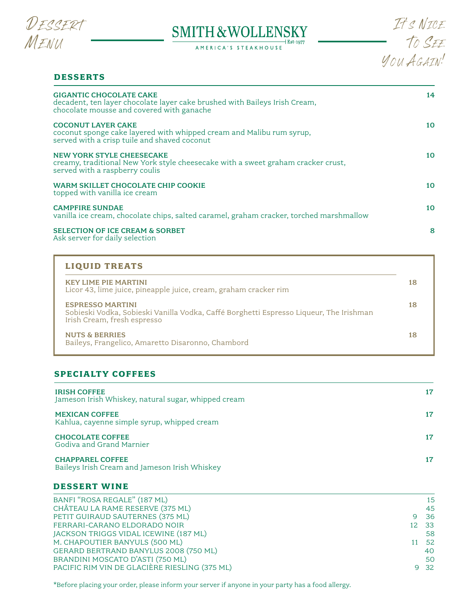

# SMITH & WOLLENSKY

AMERICA'S STEAKHOUSE



# **DESSERTS**

| <b>GIGANTIC CHOCOLATE CAKE</b><br>decadent, ten layer chocolate layer cake brushed with Baileys Irish Cream,<br>chocolate mousse and covered with ganache | 14 |
|-----------------------------------------------------------------------------------------------------------------------------------------------------------|----|
| <b>COCONUT LAYER CAKE</b><br>coconut sponge cake layered with whipped cream and Malibu rum syrup,<br>served with a crisp tuile and shaved coconut         | 10 |
| <b>NEW YORK STYLE CHEESECAKE</b><br>creamy, traditional New York style cheesecake with a sweet graham cracker crust,<br>served with a raspberry coulis    | 10 |
| WARM SKILLET CHOCOLATE CHIP COOKIE<br>topped with vanilla ice cream                                                                                       | 10 |
| <b>CAMPFIRE SUNDAE</b><br>vanilla ice cream, chocolate chips, salted caramel, graham cracker, torched marshmallow                                         | 10 |
| <b>SELECTION OF ICE CREAM &amp; SORBET</b><br>Ask server for daily selection                                                                              | 8  |

# **LIQUID TREATS**

| <b>KEY LIME PIE MARTINI</b><br>Licor 43, lime juice, pineapple juice, cream, graham cracker rim                                                  | 18 |
|--------------------------------------------------------------------------------------------------------------------------------------------------|----|
| <b>ESPRESSO MARTINI</b><br>Sobieski Vodka, Sobieski Vanilla Vodka, Caffé Borghetti Espresso Liqueur, The Irishman<br>Irish Cream, fresh espresso | 18 |
| <b>NUTS &amp; BERRIES</b><br>Baileys, Frangelico, Amaretto Disaronno, Chambord                                                                   | 18 |

# **SPECIALTY COFFEES**

| <b>IRISH COFFEE</b><br>Jameson Irish Whiskey, natural sugar, whipped cream | 17 |
|----------------------------------------------------------------------------|----|
| <b>MEXICAN COFFEE</b><br>Kahlua, cayenne simple syrup, whipped cream       | 17 |
| <b>CHOCOLATE COFFEE</b><br>Godiva and Grand Marnier                        |    |
| <b>CHAPPAREL COFFEE</b><br>Baileys Irish Cream and Jameson Irish Whiskey   | 17 |

# **DESSERT WINE**

| BANFI "ROSA REGALE" (187 ML)                  |    | 15   |
|-----------------------------------------------|----|------|
| CHÂTEAU LA RAME RESERVE (375 ML)              |    | 45   |
| PETIT GUIRAUD SAUTERNES (375 ML)              |    | - 36 |
| FERRARI-CARANO ELDORADO NOIR                  | 12 | - 33 |
| JACKSON TRIGGS VIDAL ICEWINE (187 ML)         |    | 58   |
| M. CHAPOUTIER BANYULS (500 ML)                |    | -52  |
| GERARD BERTRAND BANYLUS 2008 (750 ML)         |    | 40   |
| BRANDINI MOSCATO D'ASTI (750 ML)              |    | 50   |
| PACIFIC RIM VIN DE GLACIÈRE RIESLING (375 ML) |    | 9 32 |

\*Before placing your order, please inform your server if anyone in your party has a food allergy.